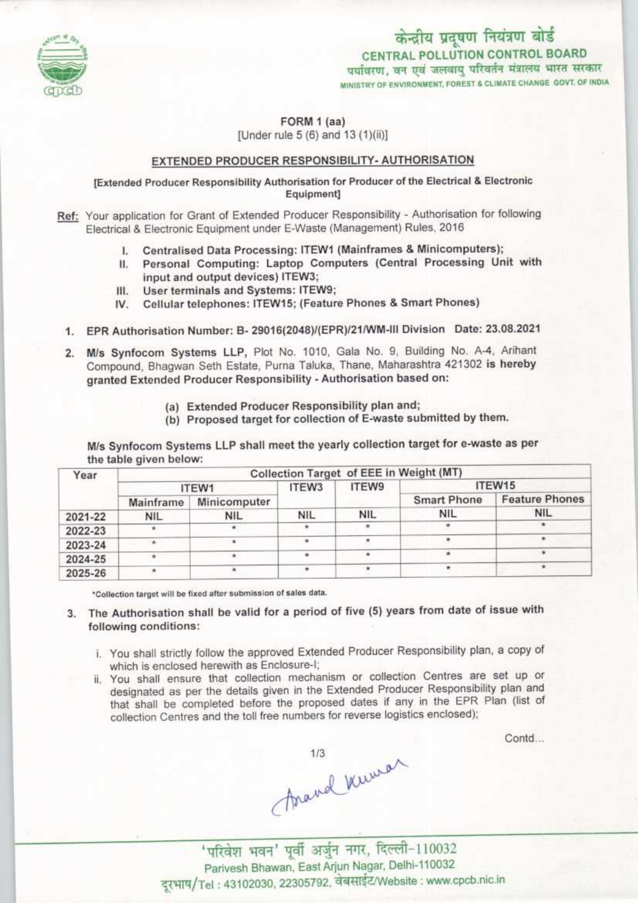

FORM 1 (aa) [Under rule 5 (6) and 13 (1)(ii)]

# <u>EXTENDED PRODUCER RESPONSIBILITY- AUTHORISATION</u>

[Extended Producer Responsibility Authorisation for Producer of the Electrical & Electronic Equipment]

Ref: Your application for Grant of Extended Producer Responsibility - Authorisation for following Electrical & Electronic Equipment under E-Waste (Management) Rules, 2016

- Centralised Data Processing: ITEW1 {Mainframes & Minicomputers); I.
- Personal Computing: Laptop Computers (Central Processing Unit with П. input and output devices) ITEW3;
- User terminals and Systems: ITEW9; Ш.
- Cellular telephones: ITEW15; (Feature Phones & Smart Phones) IV.
- 1. EPR Authorisation Number: B- 29016(2048)/(EPR)/21/WM-III Division Date: 23.08.2021
- 2. M/s Synfocom Systems LLP, Plot No. 1010, Gala No. 9, Building No. A-4, Arihant Compound, Bhagwan Seth Estate, Purna Taluka, Thane, Maharashtra 421302 is hereby granted Extended Producer Responsibility - Authorisation based on:
	- (a) Extended Producer Responsibility plan and;
	- (b) Proposed target for collection of E-waste submitted by them.

M/s Synfocom Systems LLP shall meet the yearly collection target for e-waste as per the table given below:

| Year    | Collection Target of EEE in Weight (MT) |              |            |            |                    |                       |
|---------|-----------------------------------------|--------------|------------|------------|--------------------|-----------------------|
|         | ITEW1                                   |              | ITEW3      | ITEW9      | ITEW15             |                       |
|         | Mainframe                               | Minicomputer |            |            | <b>Smart Phone</b> | <b>Feature Phones</b> |
| 2021-22 | <b>NIL</b>                              | <b>NIL</b>   | <b>NIL</b> | <b>NIL</b> | <b>NIL</b>         | <b>NIL</b>            |
| 2022-23 |                                         |              |            |            |                    |                       |
| 2023-24 |                                         | ٠            |            |            |                    |                       |
| 2024-25 |                                         |              |            |            | 传                  |                       |
| 2025-26 |                                         |              |            |            |                    |                       |

\*Collection target will be fixed after submission of sales data.

3. The Authorisation shall be valid for a period of five (5) years from date of issue with following conditions:

- i. You shall strictly follow the approved Extended Producer Responsibility plan, a copy of which is enclosed herewith as Enclosure-I;
- designated as per the details given in the Extended Producer Responsibility plan and designated as per the details given in the Extended Producer Responsibility plan directed that shall be completed before the proposed dates if any in the EPR Plan (list of collection Centres and the toll free numbers for reverse logistics enclosed);

Contd...

mard Kuwa

Parivesh Bhawan, East Arjun Nagar, Delhi-110032 दूरभाष/Tel: 43102030, 22305792, वेबसाईट/Website: www.cpcb.nic.in

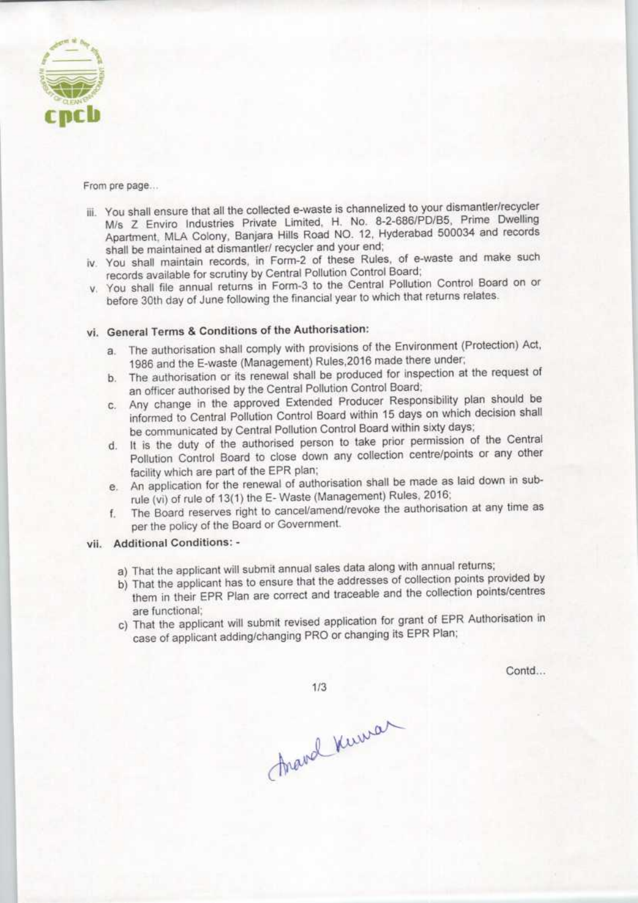

From pre page...

- iii. You shall ensure that all the collected e-waste is channelized to your dismantler/recycler M/s Z Enviro Industries Private Limited, H. No. 8-2-686/PD/B5, Prime Dwelling Apartment, MLA Colony, Banjara Hills Road NO. 12, Hyderabad 500034 and records shall be maintained at dismantler/ recycler and your end;
- iv. You shall maintain records, in Form-2 of these Rules, of e-waste and make such records available for scrutiny by Central Pollution Control Board;
- v. You shall file annual returns in Form-3 to the Central Pollution Control Board on or before 30th day of June following the financial year to which that returns relates.

# vi. General Terms & Conditions of the Authorisation:

- a.The authorisation shall comply with provisions of the Environment (Protection) Act, 1986 and the E-waste (Management) Rules,2018 made there under;
- b.The authorisation or its renewal shall be produced for inspection at the request of an officer authorised by the Central Pollution Control Board;
- c.Any change in the approved Extended Producer Responsibility plan should be informed to Central Pollution Control Board within 15 days on which decision shall be communicated by Central Pollution Control Board within sixty days;
- d.It is the duty of the authorised person to take prior permission of the Central Pollution Control Board to close down any collection centre/points or any other facility which are part of the EPR plan;
- e. An application for the renewal of authorisation shall be made as laid down in subrule (vi) of rule of 13(1) the E-Waste (Management) Rules, 2016;
- f. The Board reserves right to cancel/amend/revoke the authorisation at any time as per the policy of the Board or Government.

### vii. Additional Conditions: -

- a) That the applicant will submit annual sales data along with annual returns;
- b) That the applicant has to ensure that the addresses of collection points provided by them in their EPR Plan are correct and traceable and the collection points/centres are functional;
- c) That the applicant will submit revised application for grant of EPR Authorisation in case of applicant adding/changing PRO or changing its EPR Plan;

 $1/3$ 

Contd...

Araval Kuman